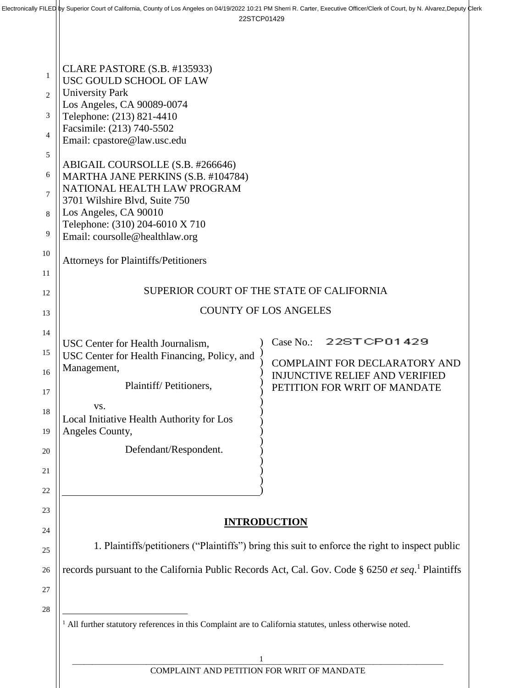|                | CLARE PASTORE (S.B. #135933)                                                                                 |                                                                               |  |
|----------------|--------------------------------------------------------------------------------------------------------------|-------------------------------------------------------------------------------|--|
| 1              | USC GOULD SCHOOL OF LAW                                                                                      |                                                                               |  |
| 2              | <b>University Park</b><br>Los Angeles, CA 90089-0074                                                         |                                                                               |  |
| 3              | Telephone: (213) 821-4410                                                                                    |                                                                               |  |
| $\overline{4}$ | Facsimile: (213) 740-5502<br>Email: cpastore@law.usc.edu                                                     |                                                                               |  |
| 5              |                                                                                                              |                                                                               |  |
|                | ABIGAIL COURSOLLE (S.B. #266646)                                                                             |                                                                               |  |
| 6              | MARTHA JANE PERKINS (S.B. #104784)<br>NATIONAL HEALTH LAW PROGRAM                                            |                                                                               |  |
| $\overline{7}$ | 3701 Wilshire Blvd, Suite 750                                                                                |                                                                               |  |
| 8              | Los Angeles, CA 90010                                                                                        |                                                                               |  |
| 9              | Telephone: (310) 204-6010 X 710<br>Email: coursolle@healthlaw.org                                            |                                                                               |  |
| 10             |                                                                                                              |                                                                               |  |
|                | <b>Attorneys for Plaintiffs/Petitioners</b>                                                                  |                                                                               |  |
| 11             |                                                                                                              |                                                                               |  |
| 12             | SUPERIOR COURT OF THE STATE OF CALIFORNIA                                                                    |                                                                               |  |
| 13             | <b>COUNTY OF LOS ANGELES</b>                                                                                 |                                                                               |  |
| 14             | USC Center for Health Journalism,                                                                            | 22STCP01429<br>Case No.:                                                      |  |
| 15             | USC Center for Health Financing, Policy, and                                                                 |                                                                               |  |
| 16             | Management,                                                                                                  | <b>COMPLAINT FOR DECLARATORY AND</b><br><b>INJUNCTIVE RELIEF AND VERIFIED</b> |  |
| 17             | Plaintiff/Petitioners,                                                                                       | PETITION FOR WRIT OF MANDATE                                                  |  |
|                | VS.                                                                                                          |                                                                               |  |
| 18             | Local Initiative Health Authority for Los                                                                    |                                                                               |  |
| 19             | Angeles County,                                                                                              |                                                                               |  |
| 20             | Defendant/Respondent.                                                                                        |                                                                               |  |
| 21             |                                                                                                              |                                                                               |  |
| 22             |                                                                                                              |                                                                               |  |
| 23             |                                                                                                              |                                                                               |  |
| 24             | <b>INTRODUCTION</b>                                                                                          |                                                                               |  |
| 25             | 1. Plaintiffs/petitioners ("Plaintiffs") bring this suit to enforce the right to inspect public              |                                                                               |  |
| 26             | records pursuant to the California Public Records Act, Cal. Gov. Code § 6250 et seq. <sup>1</sup> Plaintiffs |                                                                               |  |
| 27             |                                                                                                              |                                                                               |  |
| 28             |                                                                                                              |                                                                               |  |
|                | All further statutory references in this Complaint are to California statutes, unless otherwise noted.       |                                                                               |  |
|                | 1                                                                                                            |                                                                               |  |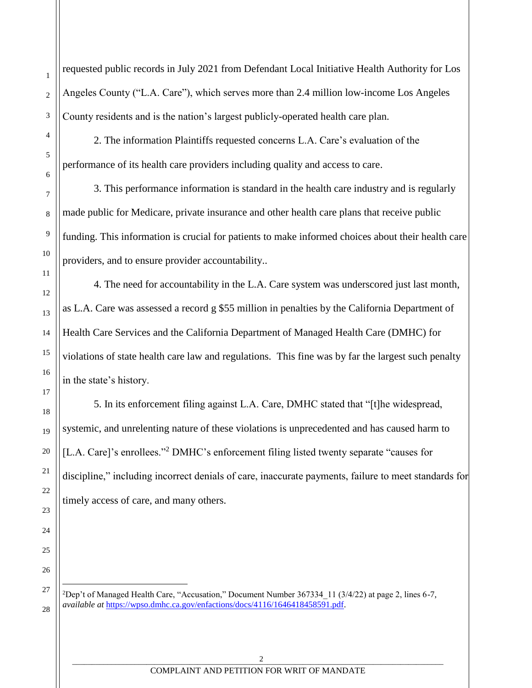requested public records in July 2021 from Defendant Local Initiative Health Authority for Los Angeles County ("L.A. Care"), which serves more than 2.4 million low-income Los Angeles County residents and is the nation's largest publicly-operated health care plan.

2. The information Plaintiffs requested concerns L.A. Care's evaluation of the performance of its health care providers including quality and access to care.

1

2

3

4

5

6

7

8

9

10

11

12

13

14

15

16

17

18

19

20

21

22

23

24

25

26

27

l

28

3. This performance information is standard in the health care industry and is regularly made public for Medicare, private insurance and other health care plans that receive public funding. This information is crucial for patients to make informed choices about their health care providers, and to ensure provider accountability..

4. The need for accountability in the L.A. Care system was underscored just last month, as L.A. Care was assessed a record g \$55 million in penalties by the California Department of Health Care Services and the California Department of Managed Health Care (DMHC) for violations of state health care law and regulations. This fine was by far the largest such penalty in the state's history.

5. In its enforcement filing against L.A. Care, DMHC stated that "[t]he widespread, systemic, and unrelenting nature of these violations is unprecedented and has caused harm to [L.A. Care]'s enrollees."<sup>2</sup> DMHC's enforcement filing listed twenty separate "causes for discipline," including incorrect denials of care, inaccurate payments, failure to meet standards for timely access of care, and many others.

<sup>2</sup>Dep't of Managed Health Care, "Accusation," Document Number 367334  $\frac{11}{3}/4/22$ ) at page 2, lines 6-7, *available at* [https://wpso.dmhc.ca.gov/enfactions/docs/4116/1646418458591.pdf.](https://wpso.dmhc.ca.gov/enfactions/docs/4116/1646418458591.pdf)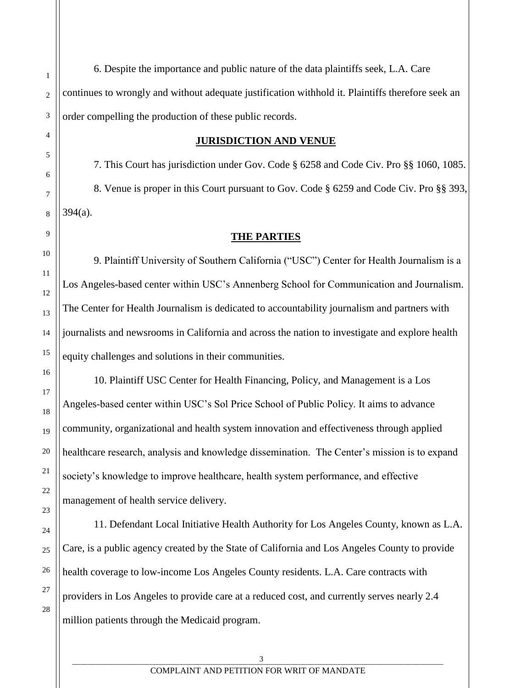6. Despite the importance and public nature of the data plaintiffs seek, L.A. Care continues to wrongly and without adequate justification withhold it. Plaintiffs therefore seek an order compelling the production of these public records.

#### **JURISDICTION AND VENUE**

7. This Court has jurisdiction under Gov. Code § 6258 and Code Civ. Pro §§ 1060, 1085. 8. Venue is proper in this Court pursuant to Gov. Code § 6259 and Code Civ. Pro §§ 393, 394(a).

#### **THE PARTIES**

9. Plaintiff University of Southern California ("USC") Center for Health Journalism is a Los Angeles-based center within USC's Annenberg School for Communication and Journalism. The Center for Health Journalism is dedicated to accountability journalism and partners with journalists and newsrooms in California and across the nation to investigate and explore health equity challenges and solutions in their communities.

10. Plaintiff USC Center for Health Financing, Policy, and Management is a Los Angeles-based center within USC's Sol Price School of Public Policy. It aims to advance community, organizational and health system innovation and effectiveness through applied healthcare research, analysis and knowledge dissemination. The Center's mission is to expand society's knowledge to improve healthcare, health system performance, and effective management of health service delivery.

11. Defendant Local Initiative Health Authority for Los Angeles County, known as L.A. Care, is a public agency created by the State of California and Los Angeles County to provide health coverage to low-income Los Angeles County residents. L.A. Care contracts with providers in Los Angeles to provide care at a reduced cost, and currently serves nearly 2.4 million patients through the Medicaid program.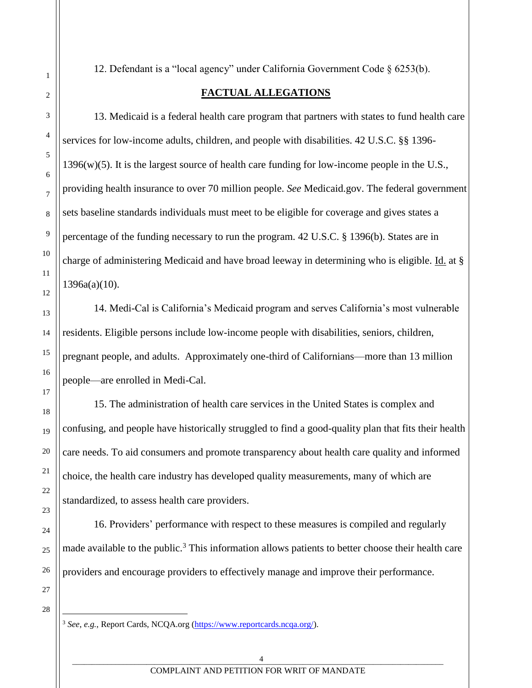12. Defendant is a "local agency" under California Government Code § 6253(b).

## **FACTUAL ALLEGATIONS**

13. Medicaid is a federal health care program that partners with states to fund health care services for low-income adults, children, and people with disabilities. 42 U.S.C. §§ 1396-  $1396(w)(5)$ . It is the largest source of health care funding for low-income people in the U.S., providing health insurance to over 70 million people. *See* Medicaid.gov. The federal government sets baseline standards individuals must meet to be eligible for coverage and gives states a percentage of the funding necessary to run the program. 42 U.S.C. § 1396(b). States are in charge of administering Medicaid and have broad leeway in determining who is eligible. Id. at §  $1396a(a)(10)$ .

14. Medi-Cal is California's Medicaid program and serves California's most vulnerable residents. Eligible persons include low-income people with disabilities, seniors, children, pregnant people, and adults. Approximately one-third of Californians—more than 13 million people—are enrolled in Medi-Cal.

15. The administration of health care services in the United States is complex and confusing, and people have historically struggled to find a good-quality plan that fits their health care needs. To aid consumers and promote transparency about health care quality and informed choice, the health care industry has developed quality measurements, many of which are standardized, to assess health care providers.

16. Providers' performance with respect to these measures is compiled and regularly made available to the public.<sup>3</sup> This information allows patients to better choose their health care providers and encourage providers to effectively manage and improve their performance.

28

 $\overline{a}$ 

1

2

3

4

5

6

7

8

9

10

11

12

13

14

15

16

17

18

19

20

21

22

23

24

25

26

27

<sup>3</sup> *See*, *e.g.*, Report Cards, NCQA.org [\(https://www.reportcards.ncqa.org/\)](https://www.reportcards.ncqa.org/).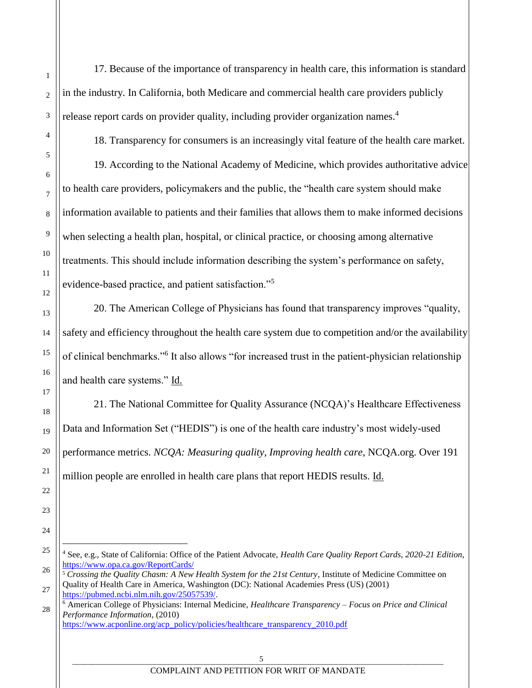17. Because of the importance of transparency in health care, this information is standard in the industry. In California, both Medicare and commercial health care providers publicly release report cards on provider quality, including provider organization names.<sup>4</sup>

1

2

3

4

5

6

7

8

9

10

11

12

13

14

15

16

17

18

19

20

21

22

23

24

25

 $\overline{a}$ 

18. Transparency for consumers is an increasingly vital feature of the health care market.

19. According to the National Academy of Medicine, which provides authoritative advice to health care providers, policymakers and the public, the "health care system should make information available to patients and their families that allows them to make informed decisions when selecting a health plan, hospital, or clinical practice, or choosing among alternative treatments. This should include information describing the system's performance on safety, evidence-based practice, and patient satisfaction."<sup>5</sup>

20. The American College of Physicians has found that transparency improves "quality, safety and efficiency throughout the health care system due to competition and/or the availability of clinical benchmarks."<sup>6</sup> It also allows "for increased trust in the patient-physician relationship and health care systems." Id.

21. The National Committee for Quality Assurance (NCQA)'s Healthcare Effectiveness Data and Information Set ("HEDIS") is one of the health care industry's most widely-used performance metrics. *NCQA: Measuring quality, Improving health care*, NCQA.org. Over 191 million people are enrolled in health care plans that report HEDIS results. Id.

<sup>4</sup> See, e.g., State of California: Office of the Patient Advocate, *Health Care Quality Report Cards, 2020-21 Edition*, <https://www.opa.ca.gov/ReportCards/>

<sup>26</sup> 27 <sup>5</sup> *Crossing the Quality Chasm: A New Health System for the 21st Century*, Institute of Medicine Committee on Quality of Health Care in America, Washington (DC): National Academies Press (US) (2001) [https://pubmed.ncbi.nlm.nih.gov/25057539/.](https://pubmed.ncbi.nlm.nih.gov/25057539/)

<sup>28</sup> <sup>6</sup> American College of Physicians: Internal Medicine, *Healthcare Transparency – Focus on Price and Clinical Performance Information*, (2010) [https://www.acponline.org/acp\\_policy/policies/healthcare\\_transparency\\_2010.pdf](https://www.acponline.org/acp_policy/policies/healthcare_transparency_2010.pdf)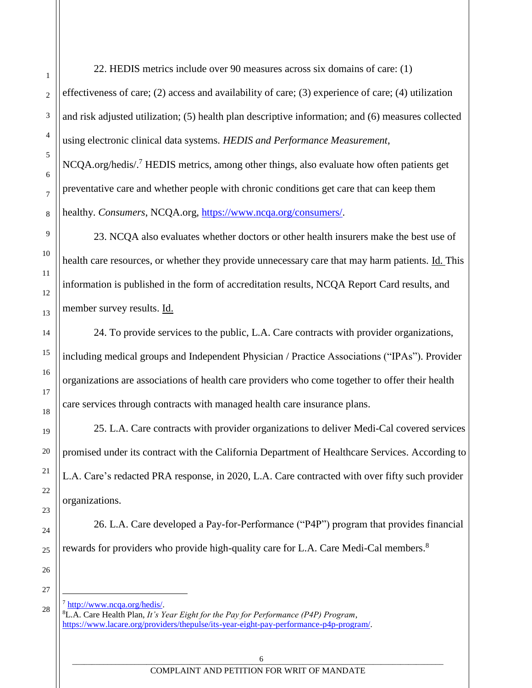22. HEDIS metrics include over 90 measures across six domains of care: (1) effectiveness of care; (2) access and availability of care; (3) experience of care; (4) utilization and risk adjusted utilization; (5) health plan descriptive information; and (6) measures collected using electronic clinical data systems. *HEDIS and Performance Measurement*,

NCQA.org/hedis/.<sup>7</sup> HEDIS metrics, among other things, also evaluate how often patients get preventative care and whether people with chronic conditions get care that can keep them healthy. *Consumers*, NCQA.org, [https://www.ncqa.org/consumers/.](https://www.ncqa.org/consumers/)

23. NCQA also evaluates whether doctors or other health insurers make the best use of health care resources, or whether they provide unnecessary care that may harm patients. Id. This information is published in the form of accreditation results, NCQA Report Card results, and member survey results. Id.

24. To provide services to the public, L.A. Care contracts with provider organizations, including medical groups and Independent Physician / Practice Associations ("IPAs"). Provider organizations are associations of health care providers who come together to offer their health care services through contracts with managed health care insurance plans.

25. L.A. Care contracts with provider organizations to deliver Medi-Cal covered services promised under its contract with the California Department of Healthcare Services. According to L.A. Care's redacted PRA response, in 2020, L.A. Care contracted with over fifty such provider organizations.

26. L.A. Care developed a Pay-for-Performance ("P4P") program that provides financial rewards for providers who provide high-quality care for L.A. Care Medi-Cal members.<sup>8</sup>

l

 $^7$  [http://www.ncqa.org/hedis/.](http://www.ncqa.org/hedis/) <sup>8</sup>L.A. Care Health Plan, *It's Year Eight for the Pay for Performance (P4P) Program*, [https://www.lacare.org/providers/thepulse/its-year-eight-pay-performance-p4p-program/.](https://www.lacare.org/providers/thepulse/its-year-eight-pay-performance-p4p-program/)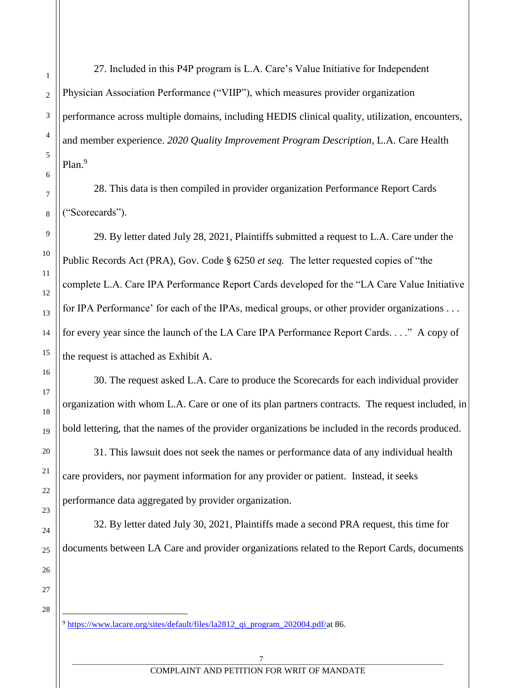$\overline{a}$ 

27. Included in this P4P program is L.A. Care's Value Initiative for Independent Physician Association Performance ("VIIP"), which measures provider organization performance across multiple domains, including HEDIS clinical quality, utilization, encounters, and member experience. *2020 Quality Improvement Program Description*, L.A. Care Health Plan.<sup>9</sup>

28. This data is then compiled in provider organization Performance Report Cards ("Scorecards").

29. By letter dated July 28, 2021, Plaintiffs submitted a request to L.A. Care under the Public Records Act (PRA), Gov. Code § 6250 *et seq.* The letter requested copies of "the complete L.A. Care IPA Performance Report Cards developed for the "LA Care Value Initiative for IPA Performance' for each of the IPAs, medical groups, or other provider organizations . . . for every year since the launch of the LA Care IPA Performance Report Cards. . . ." A copy of the request is attached as Exhibit A.

30. The request asked L.A. Care to produce the Scorecards for each individual provider organization with whom L.A. Care or one of its plan partners contracts. The request included, in bold lettering, that the names of the provider organizations be included in the records produced.

31. This lawsuit does not seek the names or performance data of any individual health care providers, nor payment information for any provider or patient. Instead, it seeks performance data aggregated by provider organization.

32. By letter dated July 30, 2021, Plaintiffs made a second PRA request, this time for documents between LA Care and provider organizations related to the Report Cards, documents

 $9 \text{ https://www.lacare.org/sites/default/files/1a2812}$  qi program 202004.pdf/at 86.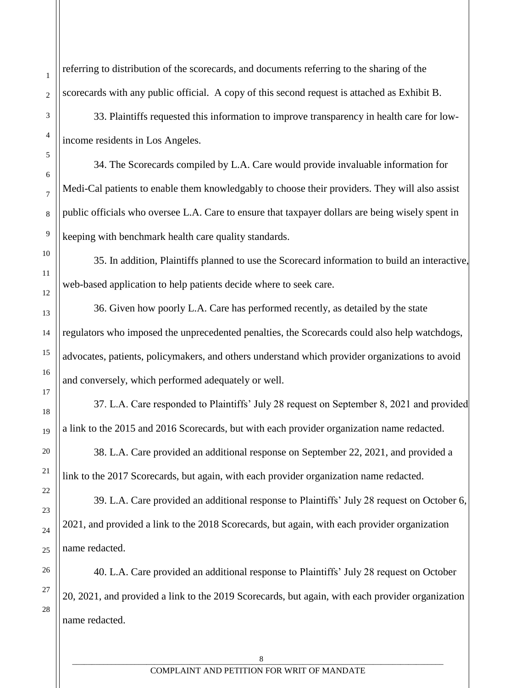referring to distribution of the scorecards, and documents referring to the sharing of the scorecards with any public official. A copy of this second request is attached as Exhibit B.

33. Plaintiffs requested this information to improve transparency in health care for lowincome residents in Los Angeles.

34. The Scorecards compiled by L.A. Care would provide invaluable information for Medi-Cal patients to enable them knowledgably to choose their providers. They will also assist public officials who oversee L.A. Care to ensure that taxpayer dollars are being wisely spent in keeping with benchmark health care quality standards.

35. In addition, Plaintiffs planned to use the Scorecard information to build an interactive, web-based application to help patients decide where to seek care.

36. Given how poorly L.A. Care has performed recently, as detailed by the state regulators who imposed the unprecedented penalties, the Scorecards could also help watchdogs, advocates, patients, policymakers, and others understand which provider organizations to avoid and conversely, which performed adequately or well.

37. L.A. Care responded to Plaintiffs' July 28 request on September 8, 2021 and provided a link to the 2015 and 2016 Scorecards, but with each provider organization name redacted.

38. L.A. Care provided an additional response on September 22, 2021, and provided a link to the 2017 Scorecards, but again, with each provider organization name redacted.

39. L.A. Care provided an additional response to Plaintiffs' July 28 request on October 6, 2021, and provided a link to the 2018 Scorecards, but again, with each provider organization name redacted.

40. L.A. Care provided an additional response to Plaintiffs' July 28 request on October 20, 2021, and provided a link to the 2019 Scorecards, but again, with each provider organization name redacted.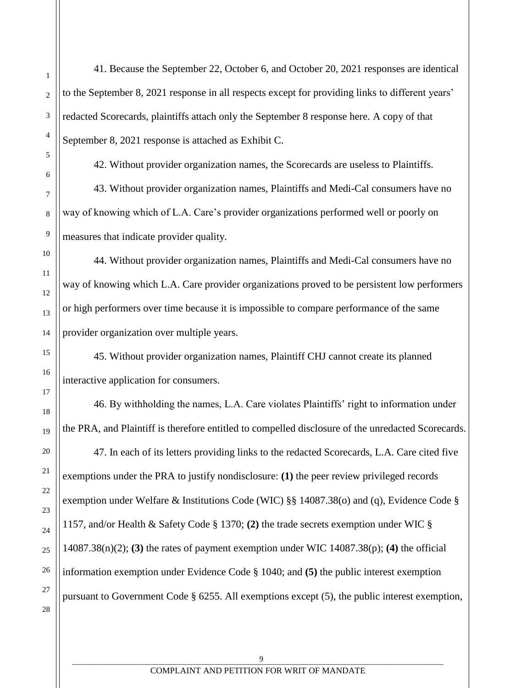41. Because the September 22, October 6, and October 20, 2021 responses are identical to the September 8, 2021 response in all respects except for providing links to different years' redacted Scorecards, plaintiffs attach only the September 8 response here. A copy of that September 8, 2021 response is attached as Exhibit C.

42. Without provider organization names, the Scorecards are useless to Plaintiffs.

43. Without provider organization names, Plaintiffs and Medi-Cal consumers have no way of knowing which of L.A. Care's provider organizations performed well or poorly on measures that indicate provider quality.

44. Without provider organization names, Plaintiffs and Medi-Cal consumers have no way of knowing which L.A. Care provider organizations proved to be persistent low performers or high performers over time because it is impossible to compare performance of the same provider organization over multiple years.

45. Without provider organization names, Plaintiff CHJ cannot create its planned interactive application for consumers.

46. By withholding the names, L.A. Care violates Plaintiffs' right to information under the PRA, and Plaintiff is therefore entitled to compelled disclosure of the unredacted Scorecards. 47. In each of its letters providing links to the redacted Scorecards, L.A. Care cited five exemptions under the PRA to justify nondisclosure: **(1)** the peer review privileged records exemption under Welfare & Institutions Code (WIC) §§ 14087.38(o) and (q), Evidence Code § 1157, and/or Health & Safety Code § 1370; **(2)** the trade secrets exemption under WIC § 14087.38(n)(2); **(3)** the rates of payment exemption under WIC 14087.38(p); **(4)** the official information exemption under Evidence Code § 1040; and **(5)** the public interest exemption pursuant to Government Code § 6255. All exemptions except (5), the public interest exemption,

1

2

3

4

5

6

7

8

9

10

11

12

13

14

15

16

17

18

19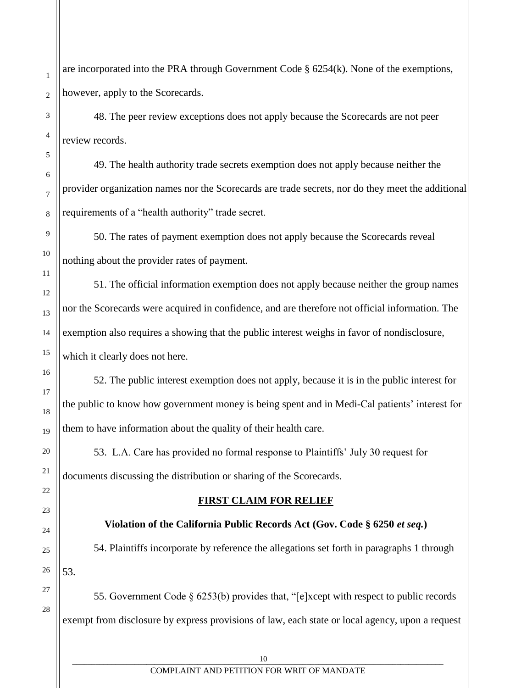are incorporated into the PRA through Government Code § 6254(k). None of the exemptions, however, apply to the Scorecards.

48. The peer review exceptions does not apply because the Scorecards are not peer review records.

49. The health authority trade secrets exemption does not apply because neither the provider organization names nor the Scorecards are trade secrets, nor do they meet the additional requirements of a "health authority" trade secret.

50. The rates of payment exemption does not apply because the Scorecards reveal nothing about the provider rates of payment.

51. The official information exemption does not apply because neither the group names nor the Scorecards were acquired in confidence, and are therefore not official information. The exemption also requires a showing that the public interest weighs in favor of nondisclosure, which it clearly does not here.

52. The public interest exemption does not apply, because it is in the public interest for the public to know how government money is being spent and in Medi-Cal patients' interest for them to have information about the quality of their health care.

53. L.A. Care has provided no formal response to Plaintiffs' July 30 request for documents discussing the distribution or sharing of the Scorecards.

### **FIRST CLAIM FOR RELIEF**

# **Violation of the California Public Records Act (Gov. Code § 6250** *et seq.***)**

54. Plaintiffs incorporate by reference the allegations set forth in paragraphs 1 through 53.

55. Government Code § 6253(b) provides that, "[e]xcept with respect to public records exempt from disclosure by express provisions of law, each state or local agency, upon a request

1

#### COMPLAINT AND PETITION FOR WRIT OF MANDATE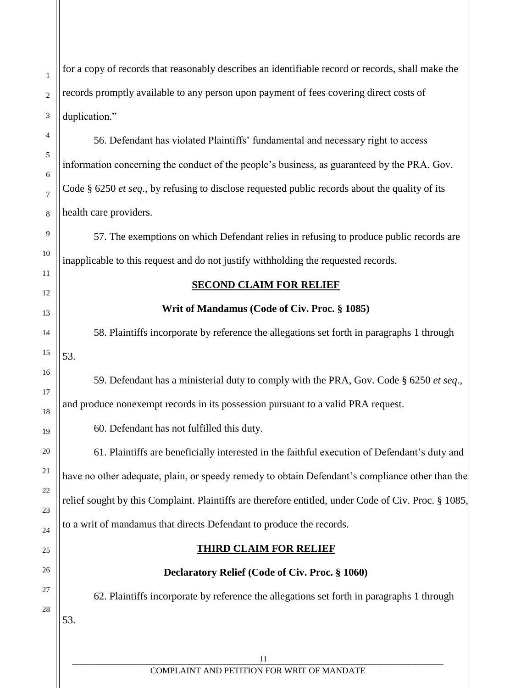for a copy of records that reasonably describes an identifiable record or records, shall make the records promptly available to any person upon payment of fees covering direct costs of duplication."

56. Defendant has violated Plaintiffs' fundamental and necessary right to access information concerning the conduct of the people's business, as guaranteed by the PRA, Gov. Code § 6250 *et seq*., by refusing to disclose requested public records about the quality of its health care providers.

57. The exemptions on which Defendant relies in refusing to produce public records are inapplicable to this request and do not justify withholding the requested records.

#### **SECOND CLAIM FOR RELIEF**

#### **Writ of Mandamus (Code of Civ. Proc. § 1085)**

58. Plaintiffs incorporate by reference the allegations set forth in paragraphs 1 through

59. Defendant has a ministerial duty to comply with the PRA, Gov. Code § 6250 *et seq.*, and produce nonexempt records in its possession pursuant to a valid PRA request.

60. Defendant has not fulfilled this duty.

1

2

3

4

5

6

7

8

9

10

11

12

13

14

15

53.

16

17

18

19

20

21

22

23

24

25

26

27

28

53.

61. Plaintiffs are beneficially interested in the faithful execution of Defendant's duty and have no other adequate, plain, or speedy remedy to obtain Defendant's compliance other than the relief sought by this Complaint. Plaintiffs are therefore entitled, under Code of Civ. Proc. § 1085, to a writ of mandamus that directs Defendant to produce the records.

# **THIRD CLAIM FOR RELIEF**

# **Declaratory Relief (Code of Civ. Proc. § 1060)**

62. Plaintiffs incorporate by reference the allegations set forth in paragraphs 1 through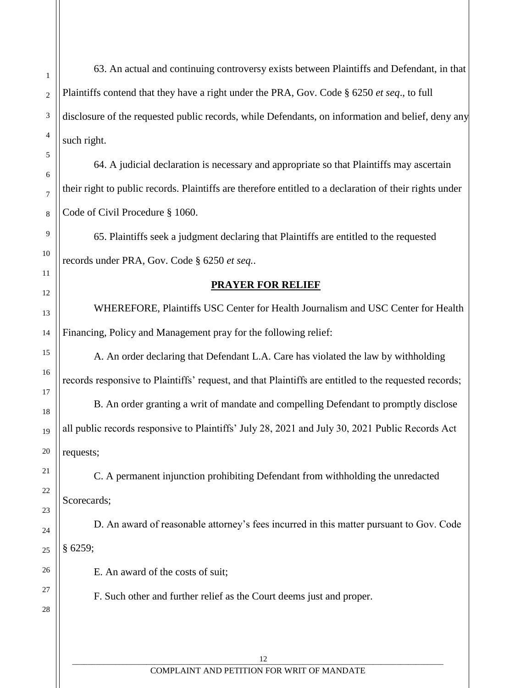63. An actual and continuing controversy exists between Plaintiffs and Defendant, in that Plaintiffs contend that they have a right under the PRA, Gov. Code § 6250 *et seq*., to full disclosure of the requested public records, while Defendants, on information and belief, deny any such right.

64. A judicial declaration is necessary and appropriate so that Plaintiffs may ascertain their right to public records. Plaintiffs are therefore entitled to a declaration of their rights under Code of Civil Procedure § 1060.

65. Plaintiffs seek a judgment declaring that Plaintiffs are entitled to the requested records under PRA, Gov. Code § 6250 *et seq.*.

### **PRAYER FOR RELIEF**

WHEREFORE, Plaintiffs USC Center for Health Journalism and USC Center for Health Financing, Policy and Management pray for the following relief:

A. An order declaring that Defendant L.A. Care has violated the law by withholding records responsive to Plaintiffs' request, and that Plaintiffs are entitled to the requested records;

B. An order granting a writ of mandate and compelling Defendant to promptly disclose all public records responsive to Plaintiffs' July 28, 2021 and July 30, 2021 Public Records Act requests;

C. A permanent injunction prohibiting Defendant from withholding the unredacted Scorecards:

D. An award of reasonable attorney's fees incurred in this matter pursuant to Gov. Code § 6259;

E. An award of the costs of suit;

F. Such other and further relief as the Court deems just and proper.

28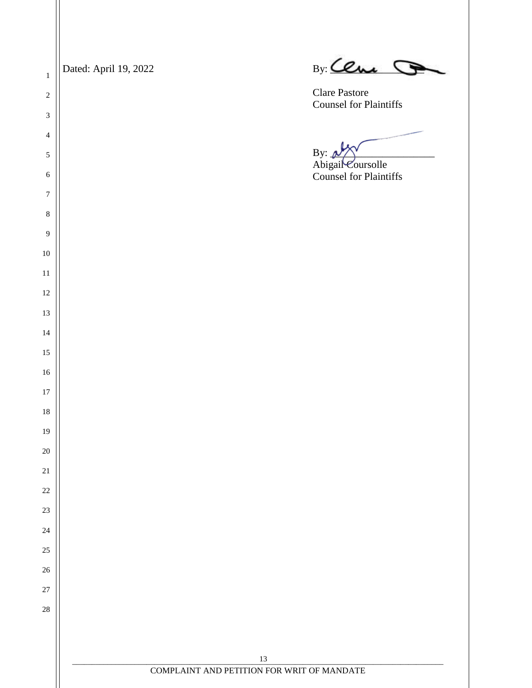. The contract of the contract of  $13$  , the contract of the contract of the contract of  $13$  , the contract of the contract of the contract of the contract of the contract of the contract of the contract of the cont COMPLAINT AND PETITION FOR WRIT OF MANDATE Dated: April 19, 2022 By: Ceme Clare Pastore Counsel for Plaintiffs  $By:$ Abigail Coursolle Counsel for Plaintiffs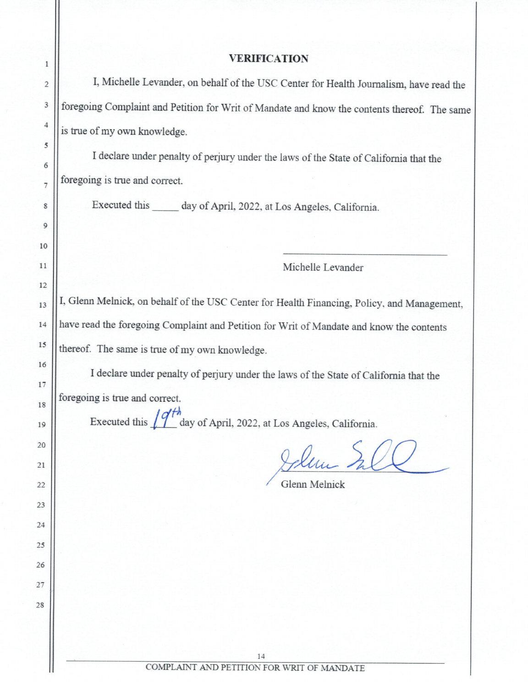#### **VERIFICATION**

I, Michelle Levander, on behalf of the USC Center for Health Journalism, have read the foregoing Complaint and Petition for Writ of Mandate and know the contents thereof. The same is true of my own knowledge.

I declare under penalty of perjury under the laws of the State of California that the foregoing is true and correct.

Executed this \_\_\_\_\_\_ day of April, 2022, at Los Angeles, California.

Michelle Levander

I, Glenn Melnick, on behalf of the USC Center for Health Financing, Policy, and Management, have read the foregoing Complaint and Petition for Writ of Mandate and know the contents thereof. The same is true of my own knowledge.

I declare under penalty of perjury under the laws of the State of California that the

foregoing is true and correct.

Executed this  $\int \frac{q^2}{h}$  day of April, 2022, at Los Angeles, California.

Glenn Melnick